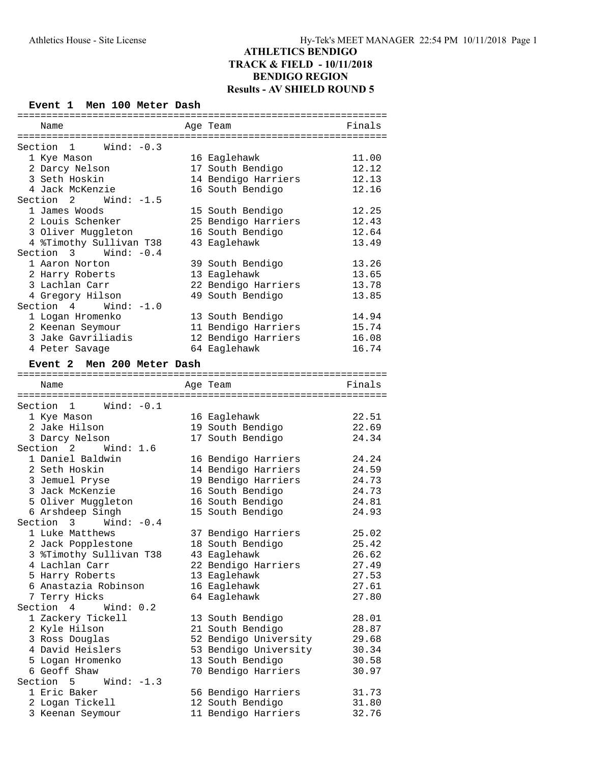### **Event 1 Men 100 Meter Dash**

| Name                         | Age Team              | Finals |
|------------------------------|-----------------------|--------|
|                              |                       |        |
| Section 1<br>Wind: $-0.3$    |                       |        |
| 1 Kye Mason                  | 16 Eaglehawk          | 11.00  |
| 2 Darcy Nelson               | 17 South Bendigo      | 12.12  |
| 3 Seth Hoskin                | 14 Bendigo Harriers   | 12.13  |
| 4 Jack McKenzie              | 16 South Bendigo      | 12.16  |
| Section $2$ Wind: $-1.5$     |                       |        |
| 1 James Woods                | 15 South Bendigo      | 12.25  |
| 2 Louis Schenker             | 25 Bendigo Harriers   | 12.43  |
| 3 Oliver Muggleton           | 16 South Bendigo      | 12.64  |
| 4 %Timothy Sullivan T38      | 43 Eaglehawk          | 13.49  |
| Section $3$ Wind: $-0.4$     |                       |        |
| 1 Aaron Norton               | 39 South Bendigo      | 13.26  |
| 2 Harry Roberts              | 13 Eaglehawk          | 13.65  |
| 3 Lachlan Carr               | 22 Bendigo Harriers   | 13.78  |
| 4 Gregory Hilson             | 49 South Bendigo      | 13.85  |
| Section 4 Wind: -1.0         |                       |        |
| 1 Logan Hromenko             | 13 South Bendigo      | 14.94  |
| 2 Keenan Seymour             | 11 Bendigo Harriers   | 15.74  |
| 3 Jake Gavriliadis           | 12 Bendigo Harriers   | 16.08  |
| 4 Peter Savage               | 64 Eaglehawk          | 16.74  |
| Event 2 Men 200 Meter Dash   |                       |        |
|                              |                       |        |
| Name                         | Age Team              | Finals |
|                              |                       |        |
| Section $1$ Wind: $-0.1$     |                       |        |
| 1 Kye Mason                  | 16 Eaglehawk          | 22.51  |
| 2 Jake Hilson                | 19 South Bendigo      | 22.69  |
| 3 Darcy Nelson               | 17 South Bendigo      | 24.34  |
| Section 2<br>Wind: $1.6$     |                       |        |
| 1 Daniel Baldwin             | 16 Bendigo Harriers   | 24.24  |
| 2 Seth Hoskin                | 14 Bendigo Harriers   | 24.59  |
| 3 Jemuel Pryse               | 19 Bendigo Harriers   | 24.73  |
| 3 Jack McKenzie              | 16 South Bendigo      | 24.73  |
| 5 Oliver Muggleton           | 16 South Bendigo      | 24.81  |
| 6 Arshdeep Singh             | 15 South Bendigo      | 24.93  |
| Section 3<br>Wind: $-0.4$    |                       |        |
| 1 Luke Matthews              | 37 Bendigo Harriers   | 25.02  |
| 2 Jack Popplestone           | 18 South Bendigo      | 25.42  |
| 3 %Timothy Sullivan T38      | 43 Eaglehawk          | 26.62  |
| 4 Lachlan Carr               | 22 Bendigo Harriers   | 27.49  |
| 5 Harry Roberts              | 13 Eaglehawk          | 27.53  |
| 6 Anastazia Robinson         | 16 Eaglehawk          | 27.61  |
| 7 Terry Hicks                | 64 Eaglehawk          | 27.80  |
| Section 4<br>Wind: $0.2$     |                       |        |
| 1 Zackery Tickell            | 13 South Bendigo      | 28.01  |
| 2 Kyle Hilson                | 21 South Bendigo      | 28.87  |
| 3 Ross Douglas               | 52 Bendigo University | 29.68  |
| 4 David Heislers             | 53 Bendigo University | 30.34  |
| 5 Logan Hromenko             | 13 South Bendigo      | 30.58  |
| 6 Geoff Shaw                 | 70 Bendigo Harriers   | 30.97  |
| Section<br>5<br>Wind: $-1.3$ |                       |        |
| 1 Eric Baker                 | 56 Bendigo Harriers   | 31.73  |
| 2 Logan Tickell              | 12 South Bendigo      | 31.80  |
| 3 Keenan Seymour             | 11 Bendigo Harriers   | 32.76  |
|                              |                       |        |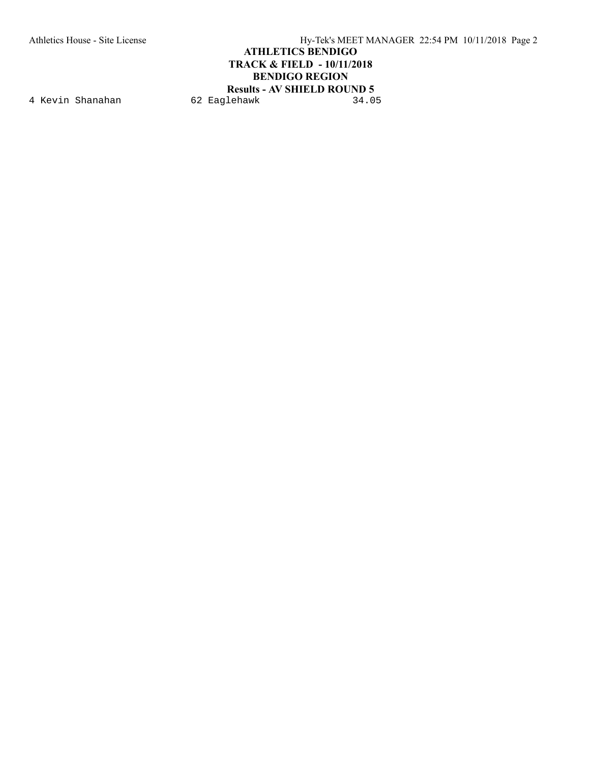Athletics House - Site License Hy-Tek's MEET MANAGER 22:54 PM 10/11/2018 Page 2 **ATHLETICS BENDIGO TRACK & FIELD - 10/11/2018 BENDIGO REGION Results - AV SHIELD ROUND 5**<br>62 Eaglehawk 34.05

4 Kevin Shanahan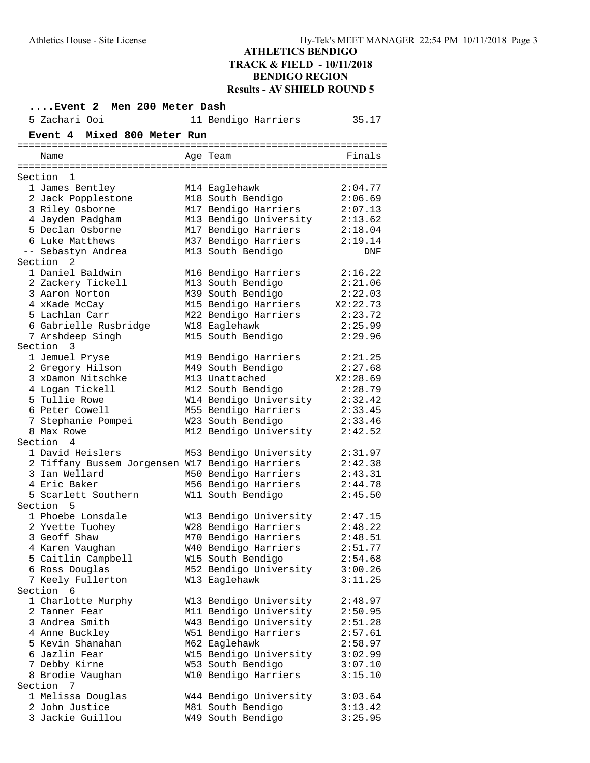| Men 200 Meter Dash<br>$\ldots$ . ${\tt Event}$ 2 |                                             |                    |
|--------------------------------------------------|---------------------------------------------|--------------------|
| 5 Zachari Ooi                                    | 11 Bendigo Harriers                         | 35.17              |
| Event 4 Mixed 800 Meter Run                      |                                             |                    |
|                                                  |                                             |                    |
| Name                                             | Age Team                                    | Finals             |
|                                                  |                                             |                    |
| Section<br>1                                     |                                             |                    |
| 1 James Bentley                                  | M14 Eaglehawk                               | 2:04.77            |
| 2 Jack Popplestone                               | M18 South Bendigo                           | 2:06.69            |
| 3 Riley Osborne                                  | M17 Bendigo Harriers                        | 2:07.13            |
| 4 Jayden Padgham                                 | M13 Bendigo University                      | 2:13.62            |
| 5 Declan Osborne                                 | M17 Bendigo Harriers                        | 2:18.04            |
| 6 Luke Matthews                                  | M37 Bendigo Harriers                        | 2:19.14            |
| -- Sebastyn Andrea                               | M13 South Bendigo                           | DNF                |
| Section 2                                        |                                             |                    |
| 1 Daniel Baldwin                                 | M16 Bendigo Harriers                        | 2:16.22            |
| 2 Zackery Tickell                                | M13 South Bendigo                           | 2:21.06            |
| 3 Aaron Norton                                   | M39 South Bendigo                           | 2:22.03            |
| 4 xKade McCay                                    | M15 Bendigo Harriers                        | X2:22.73           |
| 5 Lachlan Carr                                   | M22 Bendigo Harriers                        | 2:23.72            |
| 6 Gabrielle Rusbridge                            | W18 Eaglehawk                               | 2:25.99            |
| 7 Arshdeep Singh                                 | M15 South Bendigo                           | 2:29.96            |
| Section 3                                        |                                             |                    |
| 1 Jemuel Pryse                                   | M19 Bendigo Harriers                        | 2:21.25            |
| 2 Gregory Hilson                                 | M49 South Bendigo                           | 2:27.68            |
| 3 xDamon Nitschke                                | M13 Unattached                              | X2:28.69           |
| 4 Logan Tickell                                  | M12 South Bendigo                           | 2:28.79            |
| 5 Tullie Rowe                                    | W14 Bendigo University                      | 2:32.42            |
| 6 Peter Cowell                                   | M55 Bendigo Harriers                        | 2:33.45            |
| 7 Stephanie Pompei                               | W23 South Bendigo                           | 2:33.46            |
| 8 Max Rowe                                       | M12 Bendigo University                      | 2:42.52            |
| Section 4                                        |                                             |                    |
| 1 David Heislers                                 | M53 Bendigo University                      | 2:31.97            |
| 2 Tiffany Bussem Jorgensen W17 Bendigo Harriers  |                                             | 2:42.38            |
| 3 Ian Wellard                                    | M50 Bendigo Harriers                        | 2:43.31            |
| 4 Eric Baker                                     | M56 Bendigo Harriers                        | 2:44.78            |
| 5 Scarlett Southern                              | W11 South Bendigo                           | 2:45.50            |
| 5<br>Section                                     |                                             |                    |
| 1 Phoebe Lonsdale                                | W13 Bendigo University                      | 2:47.15            |
| 2 Yvette Tuohey                                  | W28 Bendigo Harriers                        | 2:48.22            |
| 3 Geoff Shaw                                     | M70 Bendigo Harriers                        | 2:48.51            |
| 4 Karen Vaughan                                  | W40 Bendigo Harriers                        | 2:51.77            |
| 5 Caitlin Campbell                               | W15 South Bendigo                           | 2:54.68            |
| 6 Ross Douglas                                   | M52 Bendigo University                      | 3:00.26            |
| 7 Keely Fullerton                                | W13 Eaglehawk                               | 3:11.25            |
| Section 6                                        |                                             |                    |
| 1 Charlotte Murphy                               | W13 Bendigo University                      | 2:48.97            |
| 2 Tanner Fear                                    | M11 Bendigo University                      | 2:50.95            |
| 3 Andrea Smith                                   | W43 Bendigo University                      | 2:51.28            |
| 4 Anne Buckley                                   | W51 Bendigo Harriers                        | 2:57.61            |
| 5 Kevin Shanahan                                 | M62 Eaglehawk                               | 2:58.97            |
| 6 Jazlin Fear                                    | W15 Bendigo University                      | 3:02.99            |
| 7 Debby Kirne                                    | W53 South Bendigo                           | 3:07.10            |
| 8 Brodie Vaughan<br>7                            | W10 Bendigo Harriers                        | 3:15.10            |
| Section                                          |                                             |                    |
| 1 Melissa Douglas<br>2 John Justice              | W44 Bendigo University<br>M81 South Bendigo | 3:03.64            |
| 3 Jackie Guillou                                 | W49 South Bendigo                           | 3:13.42<br>3:25.95 |
|                                                  |                                             |                    |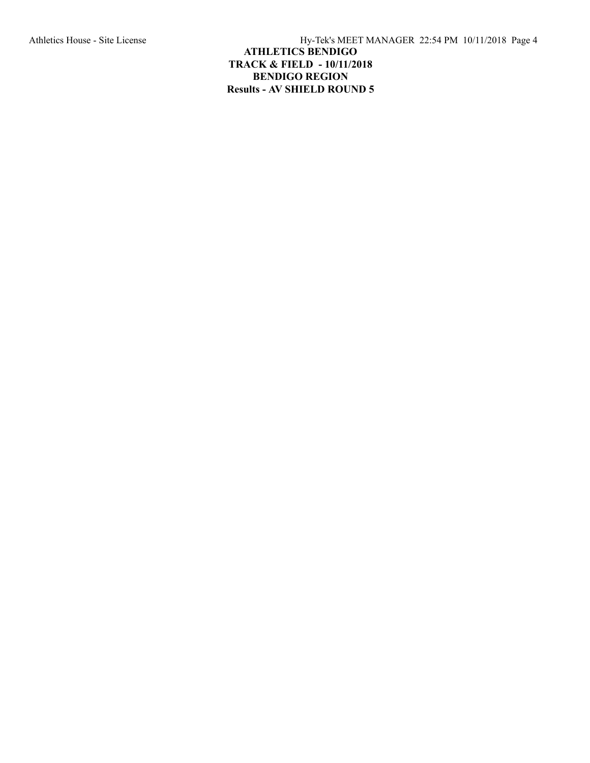Athletics House - Site License Hy-Tek's MEET MANAGER 22:54 PM 10/11/2018 Page 4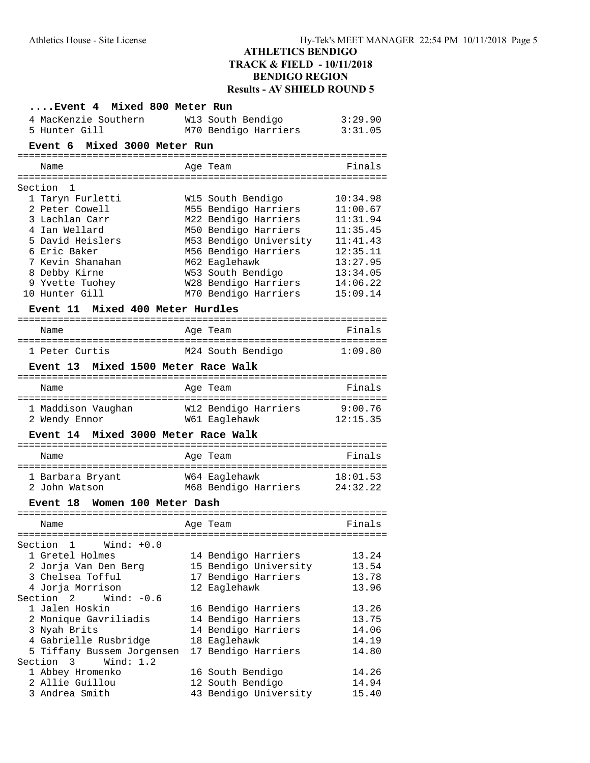| Mixed 800 Meter Run<br><b>Event 4</b>               |                                           |                      |
|-----------------------------------------------------|-------------------------------------------|----------------------|
| 4 MacKenzie Southern<br>5 Hunter Gill               | W13 South Bendigo<br>M70 Bendigo Harriers | 3:29.90<br>3:31.05   |
| Mixed 3000 Meter Run<br>Event 6                     |                                           |                      |
|                                                     |                                           |                      |
| Name                                                | Age Team                                  | Finals               |
|                                                     |                                           |                      |
| Section<br>1                                        |                                           |                      |
| 1 Taryn Furletti<br>2 Peter Cowell                  | W15 South Bendigo<br>M55 Bendigo Harriers | 10:34.98<br>11:00.67 |
| 3 Lachlan Carr                                      | M22 Bendigo Harriers                      | 11:31.94             |
| 4 Ian Wellard                                       | M50 Bendigo Harriers                      | 11:35.45             |
| 5 David Heislers                                    | M53 Bendigo University                    | 11:41.43             |
| 6 Eric Baker                                        | M56 Bendigo Harriers                      | 12:35.11             |
| 7 Kevin Shanahan                                    | M62 Eaglehawk                             | 13:27.95             |
| 8 Debby Kirne                                       | W53 South Bendigo                         | 13:34.05             |
| 9 Yvette Tuohey                                     | W28 Bendigo Harriers                      | 14:06.22             |
| 10 Hunter Gill                                      | M70 Bendigo Harriers                      | 15:09.14             |
| Mixed 400 Meter Hurdles<br>Event 11                 |                                           |                      |
|                                                     |                                           |                      |
| Name                                                | Age Team                                  | Finals               |
| 1 Peter Curtis                                      | M24 South Bendigo                         | 1:09.80              |
| Mixed 1500 Meter Race Walk<br>Event 13              |                                           |                      |
| Name                                                | Age Team                                  | Finals               |
|                                                     |                                           |                      |
| 1 Maddison Vaughan<br>2 Wendy Ennor                 | W12 Bendigo Harriers<br>W61 Eaglehawk     | 9:00.76<br>12:15.35  |
| Event 14 Mixed 3000 Meter Race Walk                 |                                           |                      |
|                                                     |                                           |                      |
| Name                                                | Age Team                                  | Finals               |
| 1 Barbara Bryant                                    | W64 Eaglehawk                             | 18:01.53             |
| 2 John Watson                                       | M68 Bendigo Harriers                      | 24:32.22             |
|                                                     |                                           |                      |
| Women 100 Meter Dash<br><b>Event 18</b>             |                                           |                      |
| Name                                                | ---------------------<br>Age Team         | Finals               |
| :========                                           |                                           |                      |
| Section 1 Wind: +0.0                                |                                           |                      |
| 1 Gretel Holmes                                     | 14 Bendigo Harriers                       | 13.24                |
| 2 Jorja Van Den Berg                                | 15 Bendigo University                     | 13.54                |
| 3 Chelsea Tofful                                    | 17 Bendigo Harriers                       | 13.78                |
| 4 Jorja Morrison                                    | 12 Eaglehawk                              | 13.96                |
| Section 2<br>Wind: $-0.6$                           |                                           |                      |
| 1 Jalen Hoskin                                      | 16 Bendigo Harriers                       | 13.26                |
| 2 Monique Gavriliadis                               | 14 Bendigo Harriers                       | 13.75                |
| 3 Nyah Brits                                        | 14 Bendigo Harriers                       | 14.06                |
| 4 Gabrielle Rusbridge<br>5 Tiffany Bussem Jorgensen | 18 Eaglehawk<br>17 Bendigo Harriers       | 14.19<br>14.80       |
|                                                     |                                           |                      |
|                                                     |                                           |                      |
| Section 3<br>Wind: 1.2                              |                                           |                      |
| 1 Abbey Hromenko                                    | 16 South Bendigo                          | 14.26                |
| 2 Allie Guillou<br>3 Andrea Smith                   | 12 South Bendigo<br>43 Bendigo University | 14.94<br>15.40       |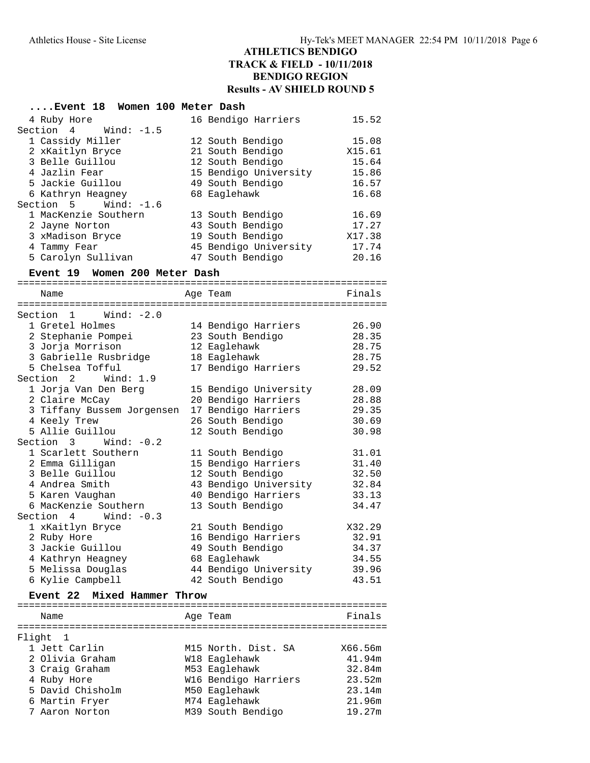### **....Event 18 Women 100 Meter Dash**

| 4 Ruby Hore              | 16 Bendigo Harriers   | 15.52  |
|--------------------------|-----------------------|--------|
| Section $4$ Wind: $-1.5$ |                       |        |
| 1 Cassidy Miller         | 12 South Bendigo      | 15.08  |
| 2 xKaitlyn Bryce         | 21 South Bendigo      | X15.61 |
| 3 Belle Guillou          | 12 South Bendigo      | 15.64  |
| 4 Jazlin Fear            | 15 Bendigo University | 15.86  |
| 5 Jackie Guillou         | 49 South Bendigo      | 16.57  |
| 6 Kathryn Heagney        | 68 Eaglehawk          | 16.68  |
| Section $5$ Wind: $-1.6$ |                       |        |
| 1 MacKenzie Southern     | 13 South Bendigo      | 16.69  |
| 2 Jayne Norton           | 43 South Bendigo      | 17.27  |
| 3 xMadison Bryce         | 19 South Bendigo      | X17.38 |
| 4 Tammy Fear             | 45 Bendigo University | 17.74  |
| 5 Carolyn Sullivan       | 47 South Bendigo      | 20.16  |

#### **Event 19 Women 200 Meter Dash**

| Name                                 | Age Team                    | Finals  |
|--------------------------------------|-----------------------------|---------|
| ==================================== | :========================== |         |
| Section $1$ Wind: $-2.0$             |                             |         |
| 1 Gretel Holmes                      | 14 Bendigo Harriers         | 26.90   |
| 2 Stephanie Pompei                   | 23 South Bendigo            | 28.35   |
| 3 Jorja Morrison                     | 12 Eaglehawk                | 28.75   |
| 3 Gabrielle Rusbridge                | 18 Eaglehawk                | 28.75   |
| 5 Chelsea Tofful                     | 17 Bendigo Harriers         | 29.52   |
| Section 2 Wind: 1.9                  |                             |         |
| 1 Jorja Van Den Berg                 | 15 Bendigo University       | 28.09   |
| 2 Claire McCay                       | 20 Bendigo Harriers         | 28.88   |
| 3 Tiffany Bussem Jorgensen           | 17 Bendigo Harriers         | 29.35   |
| 4 Keely Trew                         | 26 South Bendigo            | 30.69   |
| 5 Allie Guillou                      | 12 South Bendigo            | 30.98   |
| Section $3$ Wind: $-0.2$             |                             |         |
| 1 Scarlett Southern                  | 11 South Bendigo            | 31.01   |
| 2 Emma Gilligan                      | 15 Bendigo Harriers         | 31.40   |
| 3 Belle Guillou                      | 12 South Bendigo            | 32.50   |
| 4 Andrea Smith                       | 43 Bendigo University       | 32.84   |
| 5 Karen Vaughan                      | 40 Bendigo Harriers         | 33.13   |
| 6 MacKenzie Southern                 | 13 South Bendigo            | 34.47   |
| Section $4$ Wind: $-0.3$             |                             |         |
| 1 xKaitlyn Bryce                     | 21 South Bendigo            | X32.29  |
| 2 Ruby Hore                          | 16 Bendigo Harriers         | 32.91   |
| 3 Jackie Guillou                     | 49 South Bendigo            | 34.37   |
| 4 Kathryn Heagney                    | 68 Eaglehawk                | 34.55   |
| 5 Melissa Douglas                    | 44 Bendigo University       | 39.96   |
| 6 Kylie Campbell                     | 42 South Bendigo            | 43.51   |
| Mixed Hammer Throw<br>Event 22       |                             |         |
| Name                                 | Age Team                    | Finals  |
| Flight 1                             |                             |         |
| 1 Jett Carlin                        | M15 North. Dist. SA         | X66.56m |
|                                      |                             |         |

| $\pm$ 0000 001 111 | MIY NOI CII, DIDC, DA | 21 U U O U U U U |
|--------------------|-----------------------|------------------|
| 2 Olivia Graham    | W18 Eaglehawk         | 41.94m           |
| 3 Craig Graham     | M53 Eaglehawk         | 32.84m           |
| 4 Ruby Hore        | W16 Bendigo Harriers  | 23.52m           |
| 5 David Chisholm   | M50 Eaglehawk         | 23.14m           |
| 6 Martin Fryer     | M74 Eaglehawk         | 21.96m           |
| 7 Aaron Norton     | M39 South Bendigo     | 19.27m           |
|                    |                       |                  |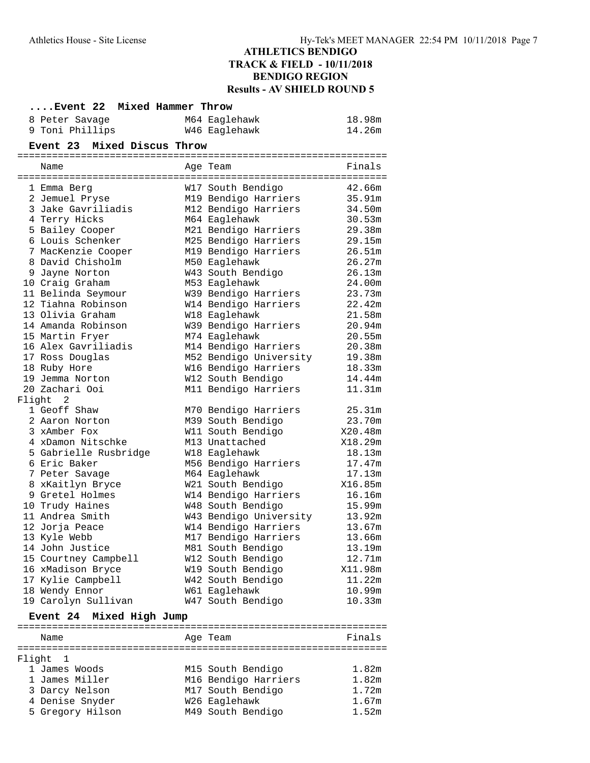|        | Event 22 Mixed Hammer Throw           |  |  |                                              |                  |  |  |
|--------|---------------------------------------|--|--|----------------------------------------------|------------------|--|--|
|        | 8 Peter Savage                        |  |  | M64 Eaglehawk                                | 18.98m           |  |  |
|        | 9 Toni Phillips                       |  |  | W46 Eaglehawk                                | 14.26m           |  |  |
|        | Mixed Discus Throw<br><b>Event 23</b> |  |  |                                              |                  |  |  |
|        |                                       |  |  |                                              |                  |  |  |
|        | Name                                  |  |  | Age Team                                     | Finals           |  |  |
|        |                                       |  |  |                                              |                  |  |  |
|        | 1 Emma Berg                           |  |  | W17 South Bendigo                            | 42.66m           |  |  |
|        | 2 Jemuel Pryse                        |  |  | M19 Bendigo Harriers                         | 35.91m           |  |  |
|        | 3 Jake Gavriliadis                    |  |  | M12 Bendigo Harriers                         | 34.50m           |  |  |
|        | 4 Terry Hicks                         |  |  | M64 Eaglehawk                                | 30.53m           |  |  |
|        | 5 Bailey Cooper                       |  |  | M21 Bendigo Harriers                         | 29.38m           |  |  |
|        | 6 Louis Schenker                      |  |  | M25 Bendigo Harriers                         | 29.15m           |  |  |
|        | 7 MacKenzie Cooper                    |  |  | M19 Bendigo Harriers                         | 26.51m           |  |  |
|        | 8 David Chisholm                      |  |  | M50 Eaglehawk                                | 26.27m           |  |  |
|        | 9 Jayne Norton                        |  |  | W43 South Bendigo                            | 26.13m           |  |  |
|        | 10 Craig Graham<br>11 Belinda Seymour |  |  | M53 Eaglehawk                                | 24.00m           |  |  |
|        | 12 Tiahna Robinson                    |  |  | W39 Bendigo Harriers<br>W14 Bendigo Harriers | 23.73m<br>22.42m |  |  |
|        | 13 Olivia Graham                      |  |  | W18 Eaglehawk                                | 21.58m           |  |  |
|        | 14 Amanda Robinson                    |  |  | W39 Bendigo Harriers                         | 20.94m           |  |  |
|        | 15 Martin Fryer                       |  |  | M74 Eaglehawk                                | 20.55m           |  |  |
|        | 16 Alex Gavriliadis                   |  |  | M14 Bendigo Harriers                         | 20.38m           |  |  |
|        | 17 Ross Douglas                       |  |  | M52 Bendigo University                       | 19.38m           |  |  |
|        | 18 Ruby Hore                          |  |  | W16 Bendigo Harriers                         | 18.33m           |  |  |
|        | 19 Jemma Norton                       |  |  | W12 South Bendigo                            | 14.44m           |  |  |
|        | 20 Zachari Ooi                        |  |  | M11 Bendigo Harriers                         | 11.31m           |  |  |
| Flight | 2                                     |  |  |                                              |                  |  |  |
|        | 1 Geoff Shaw                          |  |  | M70 Bendigo Harriers                         | 25.31m           |  |  |
|        | 2 Aaron Norton                        |  |  | M39 South Bendigo                            | 23.70m           |  |  |
|        | 3 xAmber Fox                          |  |  | W11 South Bendigo                            | X20.48m          |  |  |
|        | 4 xDamon Nitschke                     |  |  | M13 Unattached                               | X18.29m          |  |  |
|        | 5 Gabrielle Rusbridge                 |  |  | W18 Eaglehawk                                | 18.13m           |  |  |
|        | 6 Eric Baker                          |  |  | M56 Bendigo Harriers                         | 17.47m           |  |  |
|        | 7 Peter Savage                        |  |  | M64 Eaglehawk                                | 17.13m           |  |  |
|        | 8 xKaitlyn Bryce                      |  |  | W21 South Bendigo                            | X16.85m          |  |  |
|        | 9 Gretel Holmes                       |  |  | W14 Bendigo Harriers                         | 16.16m           |  |  |
|        | 10 Trudy Haines                       |  |  | W48 South Bendigo                            | 15.99m           |  |  |
|        | 11 Andrea Smith                       |  |  | W43 Bendigo University                       | 13.92m           |  |  |
|        | 12 Jorja Peace                        |  |  | W14 Bendigo Harriers                         | 13.67m<br>13.66m |  |  |
|        | 13 Kyle Webb<br>14 John Justice       |  |  | M17 Bendigo Harriers<br>M81 South Bendigo    | 13.19m           |  |  |
|        | 15 Courtney Campbell                  |  |  | W12 South Bendigo                            | 12.71m           |  |  |
|        | 16 xMadison Bryce                     |  |  | W19 South Bendigo                            | X11.98m          |  |  |
|        | 17 Kylie Campbell                     |  |  | W42 South Bendigo                            | 11.22m           |  |  |
|        | 18 Wendy Ennor                        |  |  | W61 Eaglehawk                                | 10.99m           |  |  |
|        | 19 Carolyn Sullivan                   |  |  | W47 South Bendigo                            | 10.33m           |  |  |
|        |                                       |  |  |                                              |                  |  |  |
|        | Mixed High Jump<br>Event 24           |  |  |                                              |                  |  |  |
|        | Name                                  |  |  | Age Team                                     | Finals           |  |  |
| Flight | 1                                     |  |  |                                              |                  |  |  |
|        | 1 James Woods                         |  |  | M15 South Bendigo                            | 1.82m            |  |  |
|        | 1 James Miller                        |  |  | M16 Bendigo Harriers                         | 1.82m            |  |  |
|        | 3 Darcy Nelson                        |  |  | M17 South Bendigo                            | 1.72m            |  |  |
|        | 4 Denise Snyder                       |  |  | W26 Eaglehawk                                | 1.67m            |  |  |
|        | 5 Gregory Hilson                      |  |  | M49 South Bendigo                            | 1.52m            |  |  |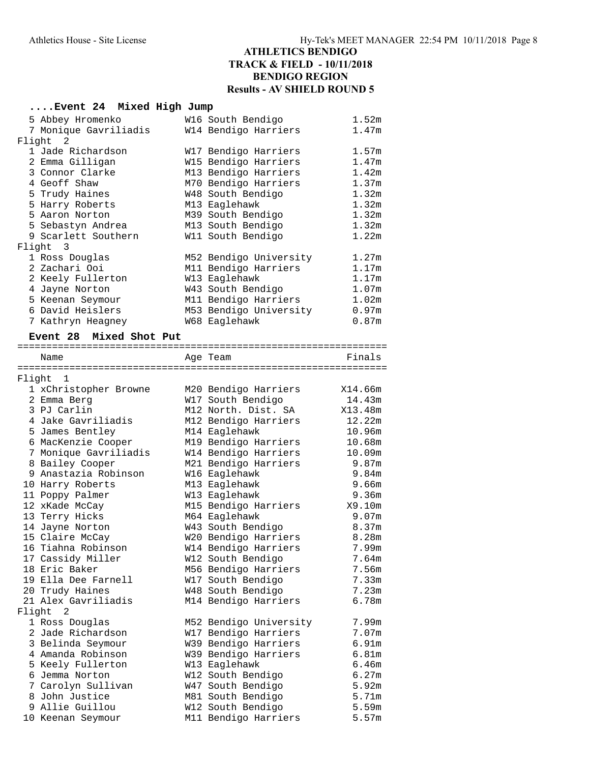### **....Event 24 Mixed High Jump**

|        | 5 Abbey Hromenko                   | W16 South Bendigo                         | 1.52m                      |
|--------|------------------------------------|-------------------------------------------|----------------------------|
|        | 7 Monique Gavriliadis              | W14 Bendigo Harriers                      | 1.47 <sub>m</sub>          |
| Flight | 2                                  |                                           |                            |
|        | 1 Jade Richardson                  | W17 Bendigo Harriers                      | 1.57 <sub>m</sub>          |
|        | 2 Emma Gilligan                    | W15 Bendigo Harriers                      | 1.47m                      |
|        | 3 Connor Clarke                    | M13 Bendigo Harriers                      | 1.42m                      |
|        | 4 Geoff Shaw                       | M70 Bendigo Harriers                      | 1.37 <sub>m</sub>          |
|        | 5 Trudy Haines                     | W48 South Bendigo                         | 1.32 <sub>m</sub>          |
|        | 5 Harry Roberts                    | M13 Eaglehawk                             | 1.32 <sub>m</sub>          |
|        | 5 Aaron Norton                     | M39 South Bendigo                         | 1.32 <sub>m</sub>          |
|        | 5 Sebastyn Andrea                  | M13 South Bendigo                         | 1.32 <sub>m</sub>          |
|        | 9 Scarlett Southern                | W11 South Bendigo                         | 1.22m                      |
| Flight | 3                                  |                                           |                            |
|        | 1 Ross Douglas                     | M52 Bendigo University                    | 1.27m                      |
|        | 2 Zachari Ooi                      | M11 Bendigo Harriers                      | 1.17m                      |
|        | 2 Keely Fullerton                  | W13 Eaglehawk                             | 1.17m                      |
|        | 4 Jayne Norton                     | W43 South Bendigo                         | 1.07m                      |
|        | 5 Keenan Seymour                   | M11 Bendigo Harriers                      | 1.02m                      |
|        | 6 David Heislers                   | M53 Bendigo University                    | 0.97m                      |
|        | 7 Kathryn Heagney                  | W68 Eaglehawk                             | 0.87 <sub>m</sub>          |
|        | Mixed Shot Put<br>Event 28         |                                           |                            |
|        |                                    |                                           |                            |
|        | Name                               | Age Team                                  | Finals                     |
|        |                                    |                                           |                            |
| Flight | ı                                  |                                           |                            |
|        | 1 xChristopher Browne              | M20 Bendigo Harriers                      | X14.66m                    |
|        | 2 Emma Berg                        | W17 South Bendigo                         | 14.43m                     |
|        | 3 PJ Carlin                        | M12 North. Dist. SA                       | X13.48m                    |
|        | 4 Jake Gavriliadis                 | M12 Bendigo Harriers                      | 12.22m                     |
|        | 5 James Bentley                    | M14 Eaglehawk                             | 10.96m                     |
|        | 6 MacKenzie Cooper                 | M19 Bendigo Harriers                      | 10.68m                     |
|        | 7 Monique Gavriliadis              | W14 Bendigo Harriers                      | 10.09m                     |
|        | 8 Bailey Cooper                    | M21 Bendigo Harriers                      | 9.87m                      |
|        | 9 Anastazia Robinson               | W16 Eaglehawk                             | 9.84m                      |
|        | 10 Harry Roberts                   | M13 Eaglehawk                             | 9.66m                      |
|        | 11 Poppy Palmer                    | W13 Eaglehawk                             | 9.36m                      |
|        | 12 xKade McCay                     | M15 Bendigo Harriers                      | X9.10m                     |
|        | 13 Terry Hicks                     | M64 Eaglehawk                             | 9.07 <sub>m</sub><br>8.37m |
|        | 14 Jayne Norton<br>15 Claire McCay | W43 South Bendigo<br>W20 Bendigo Harriers | 8.28m                      |
|        | 16 Tiahna Robinson                 | W14 Bendigo Harriers                      |                            |
|        |                                    |                                           | 7.99m                      |
|        | 17 Cassidy Miller<br>18 Eric Baker | W12 South Bendigo<br>M56 Bendigo Harriers | 7.64m<br>7.56m             |
|        | 19 Ella Dee Farnell                |                                           |                            |
|        | 20 Trudy Haines                    | W17 South Bendigo<br>W48 South Bendigo    | 7.33m<br>7.23m             |
|        | 21 Alex Gavriliadis                |                                           | 6.78m                      |
|        | 2                                  | M14 Bendigo Harriers                      |                            |
| Flight | 1 Ross Douglas                     | M52 Bendigo University                    | 7.99m                      |
|        | 2 Jade Richardson                  | W17 Bendigo Harriers                      | 7.07m                      |
|        | 3 Belinda Seymour                  | W39 Bendigo Harriers                      | 6.91m                      |
|        | 4 Amanda Robinson                  | W39 Bendigo Harriers                      | 6.81m                      |
|        | 5 Keely Fullerton                  | W13 Eaglehawk                             | 6.46m                      |
|        | 6 Jemma Norton                     | W12 South Bendigo                         | 6.27m                      |
|        | 7 Carolyn Sullivan                 | W47 South Bendigo                         | 5.92m                      |
|        |                                    |                                           |                            |

 8 John Justice M81 South Bendigo 5.71m 9 Allie Guillou W12 South Bendigo 5.59m 10 Keenan Seymour M11 Bendigo Harriers 5.57m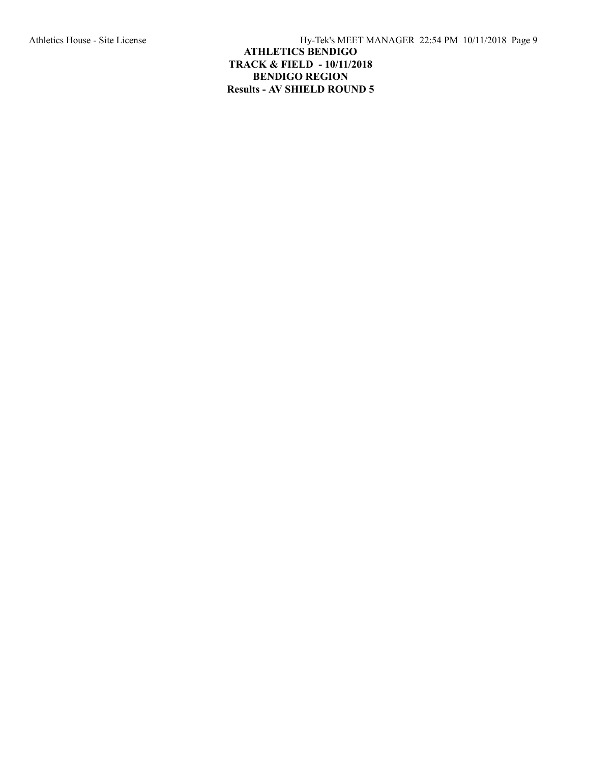Athletics House - Site License Hy-Tek's MEET MANAGER 22:54 PM 10/11/2018 Page 9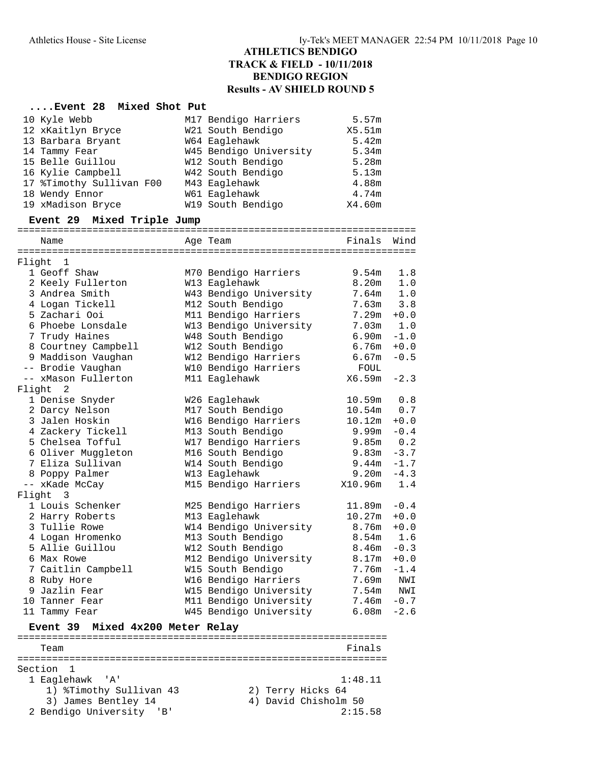#### **....Event 28 Mixed Shot Put**

| 10 Kyle Webb             | M17 Bendigo Harriers   | 5.57m  |
|--------------------------|------------------------|--------|
| 12 xKaitlyn Bryce        | W21 South Bendigo      | X5.51m |
| 13 Barbara Bryant        | W64 Eaglehawk          | 5.42m  |
| 14 Tammy Fear            | W45 Bendigo University | 5.34m  |
| 15 Belle Guillou         | W12 South Bendigo      | 5.28m  |
| 16 Kylie Campbell        | W42 South Bendigo      | 5.13m  |
| 17 %Timothy Sullivan F00 | M43 Eaglehawk          | 4.88m  |
| 18 Wendy Ennor           | W61 Eaglehawk          | 4.74m  |
| 19 xMadison Bryce        | W19 South Bendigo      | X4.60m |

**Event 29 Mixed Triple Jump** ===================================================================== Name **Age Team** Age Team Finals Wind ===================================================================== Flight 1 1 Geoff Shaw M70 Bendigo Harriers 9.54m 1.8 2 Keely Fullerton W13 Eaglehawk 8.20m 1.0 3 Andrea Smith W43 Bendigo University 7.64m 1.0 4 Logan Tickell M12 South Bendigo 7.63m 3.8 5 Zachari Ooi M11 Bendigo Harriers 7.29m +0.0 6 Phoebe Lonsdale W13 Bendigo University 7.03m 1.0 7 Trudy Haines W48 South Bendigo 6.90m -1.0 8 Courtney Campbell W12 South Bendigo 6.76m +0.0 9 Maddison Vaughan W12 Bendigo Harriers 6.67m -0.5 -- Brodie Vaughan W10 Bendigo Harriers FOUL -- xMason Fullerton M11 Eaglehawk X6.59m -2.3 Flight 2 1 Denise Snyder W26 Eaglehawk 10.59m 0.8 2 Darcy Nelson M17 South Bendigo 10.54m 0.7 3 Jalen Hoskin W16 Bendigo Harriers 10.12m +0.0 4 Zackery Tickell M13 South Bendigo 9.99m -0.4 5 Chelsea Tofful W17 Bendigo Harriers 9.85m 0.2 6 Oliver Muggleton M16 South Bendigo 9.83m -3.7 7 Eliza Sullivan W14 South Bendigo 9.44m -1.7 8 Poppy Palmer W13 Eaglehawk 9.20m -4.3 -- xKade McCay M15 Bendigo Harriers X10.96m 1.4 Flight 3 1 Louis Schenker M25 Bendigo Harriers 11.89m -0.4 2 Harry Roberts M13 Eaglehawk 10.27m +0.0 3 Tullie Rowe W14 Bendigo University 8.76m +0.0 4 Logan Hromenko M13 South Bendigo 8.54m 1.6 5 Allie Guillou W12 South Bendigo 8.46m -0.3 6 Max Rowe M12 Bendigo University 8.17m +0.0 7 Caitlin Campbell W15 South Bendigo 7.76m -1.4 8 Ruby Hore W16 Bendigo Harriers 7.69m NWI 9 Jazlin Fear W15 Bendigo University 7.54m NWI 10 Tanner Fear M11 Bendigo University 7.46m -0.7 11 Tammy Fear W45 Bendigo University 6.08m -2.6 **Event 39 Mixed 4x200 Meter Relay**

#### ================================================================ Team Finals ================================================================ Section 1 1 Eaglehawk 'A' 1:48.11 1) %Timothy Sullivan 43 2) Terry Hicks 64 3) James Bentley 14 (4) David Chisholm 50 2 Bendigo University 'B' 2:15.58